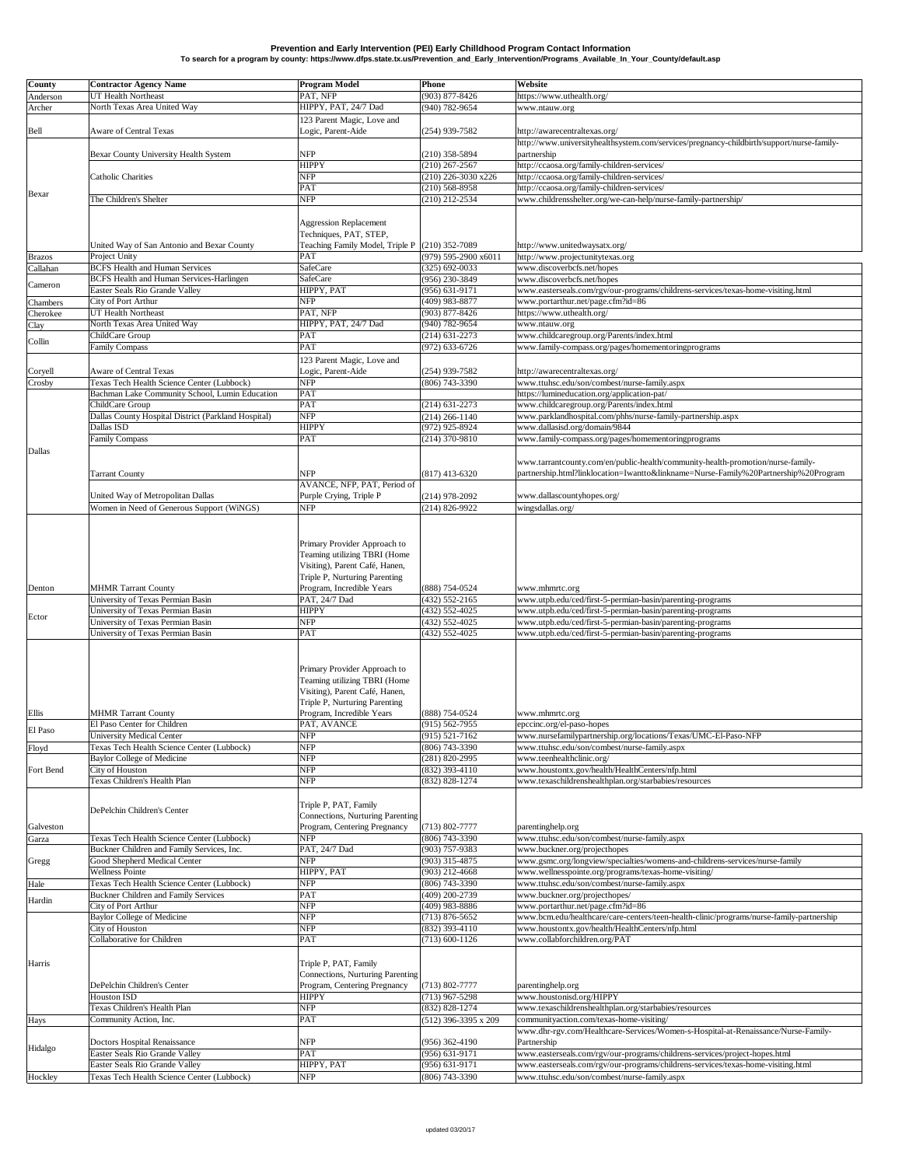## **Prevention and Early Intervention (PEI) Early Chilldhood Program Contact Information To search for a program by county: https://www.dfps.state.tx.us/Prevention\_and\_Early\_Intervention/Programs\_Available\_In\_Your\_County/default.asp**

| <b>County</b> | <b>Contractor Agency Name</b>                                                                | <b>Program Model</b>                                             | <b>Phone</b>                           | <b>Website</b>                                                                                                                |
|---------------|----------------------------------------------------------------------------------------------|------------------------------------------------------------------|----------------------------------------|-------------------------------------------------------------------------------------------------------------------------------|
| Anderson      | <b>UT Health Northeast</b>                                                                   | PAT, NFP                                                         | $(903)$ 877-8426                       | https://www.uthealth.org/                                                                                                     |
| Archer        | North Texas Area United Way                                                                  | HIPPY, PAT, 24/7 Dad                                             | $(940) 782 - 9654$                     | www.ntauw.org                                                                                                                 |
|               |                                                                                              | 123 Parent Magic, Love and                                       |                                        |                                                                                                                               |
| Bell          | <b>Aware of Central Texas</b>                                                                | Logic, Parent-Aide                                               | $(254)$ 939-7582                       | http://awarecentraltexas.org/                                                                                                 |
|               |                                                                                              |                                                                  |                                        | http://www.universityhealthsystem.com/services/pregnancy-childbirth/support/nurse-family-                                     |
|               | <b>Bexar County University Health System</b>                                                 | <b>NFP</b><br><b>HIPPY</b>                                       | $(210)$ 358-5894<br>$(210)$ 267-2567   | partnership<br>http://ccaosa.org/family-children-services/                                                                    |
|               | <b>Catholic Charities</b>                                                                    | <b>NFP</b>                                                       | $(210)$ 226-3030 x226                  | http://ccaosa.org/family-children-services/                                                                                   |
|               |                                                                                              | <b>PAT</b>                                                       | $(210)$ 568-8958                       | http://ccaosa.org/family-children-services/                                                                                   |
| Bexar         | The Children's Shelter                                                                       | <b>NFP</b>                                                       | $(210)$ 212-2534                       | www.childrensshelter.org/we-can-help/nurse-family-partnership/                                                                |
|               |                                                                                              |                                                                  |                                        |                                                                                                                               |
|               |                                                                                              | <b>Aggression Replacement</b>                                    |                                        |                                                                                                                               |
|               |                                                                                              | Techniques, PAT, STEP,                                           |                                        |                                                                                                                               |
|               | United Way of San Antonio and Bexar County                                                   | Teaching Family Model, Triple P (210) 352-7089                   |                                        | http://www.unitedwaysatx.org/                                                                                                 |
| <b>Brazos</b> | Project Unity<br><b>BCFS</b> Health and Human Services                                       | <b>PAT</b><br><b>SafeCare</b>                                    | $(979)$ 595-2900 x6011                 | http://www.projectunitytexas.org                                                                                              |
| Callahan      | <b>BCFS</b> Health and Human Services-Harlingen                                              | SafeCare                                                         | $(325)$ 692-0033<br>$(956)$ 230-3849   | www.discoverbcfs.net/hopes<br>www.discoverbcfs.net/hopes                                                                      |
| Cameron       | <b>Easter Seals Rio Grande Valley</b>                                                        | HIPPY, PAT                                                       | $(956) 631 - 9171$                     | www.easterseals.com/rgv/our-programs/childrens-services/texas-home-visiting.html                                              |
| Chambers      | City of Port Arthur                                                                          | <b>NFP</b>                                                       | $(409)$ 983-8877                       | www.portarthur.net/page.cfm?id=86                                                                                             |
| Cherokee      | <b>UT Health Northeast</b>                                                                   | PAT, NFP                                                         | $(903)$ 877-8426                       | https://www.uthealth.org/                                                                                                     |
| Clay          | North Texas Area United Way                                                                  | HIPPY, PAT, 24/7 Dad                                             | $(940)$ 782-9654                       | www.ntauw.org                                                                                                                 |
| Collin        | ChildCare Group                                                                              | <b>PAT</b>                                                       | $(214)$ 631-2273                       | www.childcaregroup.org/Parents/index.html                                                                                     |
|               | <b>Family Compass</b>                                                                        | <b>PAT</b>                                                       | $(972) 633 - 6726$                     | www.family-compass.org/pages/homementoringprograms                                                                            |
|               |                                                                                              | 123 Parent Magic, Love and                                       |                                        |                                                                                                                               |
| Coryell       | <b>Aware of Central Texas</b>                                                                | Logic, Parent-Aide                                               | $(254)$ 939-7582                       | http://awarecentraltexas.org/                                                                                                 |
| Crosby        | Texas Tech Health Science Center (Lubbock)<br>Bachman Lake Community School, Lumin Education | <b>NFP</b><br><b>PAT</b>                                         | $(806)$ 743-3390                       | www.ttuhsc.edu/son/combest/nurse-family.aspx<br>https://lumineducation.org/application-pat/                                   |
|               | ChildCare Group                                                                              | <b>PAT</b>                                                       | $(214)$ 631-2273                       | www.childcaregroup.org/Parents/index.html                                                                                     |
|               | Dallas County Hospital District (Parkland Hospital)                                          | <b>NFP</b>                                                       | $(214)$ 266-1140                       | www.parklandhospital.com/phhs/nurse-family-partnership.aspx                                                                   |
|               | Dallas ISD                                                                                   | <b>HIPPY</b>                                                     | $(972)$ 925-8924                       | www.dallasisd.org/domain/9844                                                                                                 |
|               | <b>Family Compass</b>                                                                        | <b>PAT</b>                                                       | $(214)$ 370-9810                       | www.family-compass.org/pages/homementoringprograms                                                                            |
| Dallas        |                                                                                              |                                                                  |                                        |                                                                                                                               |
|               |                                                                                              |                                                                  |                                        | www.tarrantcounty.com/en/public-health/community-health-promotion/nurse-family-                                               |
|               | <b>Tarrant County</b>                                                                        | <b>NFP</b>                                                       | $(817)$ 413-6320                       | partnership.html?linklocation=Iwantto&linkname=Nurse-Family%20Partnership%20Program                                           |
|               | <b>Jnited Way of Metropolitan Dallas</b>                                                     | AVANCE, NFP, PAT, Period of<br>Purple Crying, Triple P           | $(214)$ 978-2092                       | www.dallascountyhopes.org/                                                                                                    |
|               | Women in Need of Generous Support (WiNGS)                                                    | <b>NFP</b>                                                       | $(214)$ 826-9922                       | wingsdallas.org/                                                                                                              |
|               |                                                                                              |                                                                  |                                        |                                                                                                                               |
|               |                                                                                              |                                                                  |                                        |                                                                                                                               |
|               |                                                                                              | Primary Provider Approach to                                     |                                        |                                                                                                                               |
|               |                                                                                              | <b>Teaming utilizing TBRI (Home</b>                              |                                        |                                                                                                                               |
|               |                                                                                              | Visiting), Parent Café, Hanen,                                   |                                        |                                                                                                                               |
|               |                                                                                              | Triple P, Nurturing Parenting                                    |                                        |                                                                                                                               |
| Denton        | <b>MHMR Tarrant County</b>                                                                   | Program, Incredible Years                                        | $(888)$ 754-0524                       | www.mhmrtc.org                                                                                                                |
|               | <b>Jniversity of Texas Permian Basin</b>                                                     | PAT, 24/7 Dad                                                    | $(432)$ 552-2165                       | www.utpb.edu/ced/first-5-permian-basin/parenting-programs                                                                     |
| Ector         | <b>Jniversity of Texas Permian Basin</b><br><b>Jniversity of Texas Permian Basin</b>         | <b>HIPPY</b><br><b>NFP</b>                                       | $(432)$ 552-4025<br>$(432)$ 552-4025   | www.utpb.edu/ced/first-5-permian-basin/parenting-programs<br>www.utpb.edu/ced/first-5-permian-basin/parenting-programs        |
|               | <b>Jniversity of Texas Permian Basin</b>                                                     | <b>PAT</b>                                                       | $(432)$ 552-4025                       | www.utpb.edu/ced/first-5-permian-basin/parenting-programs                                                                     |
|               |                                                                                              |                                                                  |                                        |                                                                                                                               |
|               |                                                                                              |                                                                  |                                        |                                                                                                                               |
|               |                                                                                              | Primary Provider Approach to                                     |                                        |                                                                                                                               |
|               |                                                                                              | <b>Teaming utilizing TBRI (Home</b>                              |                                        |                                                                                                                               |
|               |                                                                                              | Visiting), Parent Café, Hanen,                                   |                                        |                                                                                                                               |
| Ellis         | <b>MHMR Tarrant County</b>                                                                   | Triple P, Nurturing Parenting<br>Program, Incredible Years       | $(888)$ 754-0524                       |                                                                                                                               |
|               | El Paso Center for Children                                                                  | PAT, AVANCE                                                      | $(915) 562 - 7955$                     | www.mhmrtc.org<br>epccinc.org/el-paso-hopes                                                                                   |
| El Paso       | <b>Jniversity Medical Center</b>                                                             | <b>NFP</b>                                                       | $(915) 521 - 7162$                     | www.nursefamilypartnership.org/locations/Texas/UMC-El-Paso-NFP                                                                |
| Floyd         | Texas Tech Health Science Center (Lubbock)                                                   | <b>NFP</b>                                                       | $(806)$ 743-3390                       | www.ttuhsc.edu/son/combest/nurse-family.aspx                                                                                  |
|               | <b>Baylor College of Medicine</b>                                                            | <b>NFP</b>                                                       | $(281)$ 820-2995                       | www.teenhealthclinic.org/                                                                                                     |
| Fort Bend     | City of Houston                                                                              | <b>NFP</b>                                                       | $(832)$ 393-4110                       | www.houstontx.gov/health/HealthCenters/nfp.html                                                                               |
|               | Texas Children's Health Plan                                                                 | <b>NFP</b>                                                       | $(832) 828 - 1274$                     | www.texaschildrenshealthplan.org/starbabies/resources                                                                         |
|               |                                                                                              |                                                                  |                                        |                                                                                                                               |
|               | DePelchin Children's Center                                                                  | Triple P, PAT, Family                                            |                                        |                                                                                                                               |
| Galveston     |                                                                                              | Connections, Nurturing Parenting<br>Program, Centering Pregnancy | $(713) 802 - 7777$                     | parentinghelp.org                                                                                                             |
| Garza         | Texas Tech Health Science Center (Lubbock)                                                   | <b>NFP</b>                                                       | $(806)$ 743-3390                       | www.ttuhsc.edu/son/combest/nurse-family.aspx                                                                                  |
|               | Buckner Children and Family Services, Inc.                                                   | PAT, 24/7 Dad                                                    | $(903)$ 757-9383                       | www.buckner.org/projecthopes                                                                                                  |
| <b>S</b> regg | Good Shepherd Medical Center                                                                 | <b>NFP</b>                                                       | $(903)$ 315-4875                       | www.gsmc.org/longview/specialties/womens-and-childrens-services/nurse-family                                                  |
|               | <b>Wellness Pointe</b>                                                                       | HIPPY, PAT                                                       | $(903)$ 212-4668                       | www.wellnesspointe.org/programs/texas-home-visiting/                                                                          |
| Hale          | Texas Tech Health Science Center (Lubbock)                                                   | <b>NFP</b>                                                       | $(806)$ 743-3390                       | www.ttuhsc.edu/son/combest/nurse-family.aspx                                                                                  |
| Hardin        | <b>Buckner Children and Family Services</b>                                                  | <b>PAT</b>                                                       | $(409)$ 200-2739                       | www.buckner.org/projecthopes/                                                                                                 |
|               | City of Port Arthur<br><b>Baylor College of Medicine</b>                                     | <b>NFP</b><br><b>NFP</b>                                         | $(409)$ 983-8886<br>$(713) 876 - 5652$ | www.portarthur.net/page.cfm?id=86<br>www.bcm.edu/healthcare/care-centers/teen-health-clinic/programs/nurse-family-partnership |
|               | City of Houston                                                                              | <b>NFP</b>                                                       | $(832)$ 393-4110                       | www.houstontx.gov/health/HealthCenters/nfp.html                                                                               |
|               | Collaborative for Children                                                                   | <b>PAT</b>                                                       | $(713)$ 600-1126                       | www.collabforchildren.org/PAT                                                                                                 |
|               |                                                                                              |                                                                  |                                        |                                                                                                                               |
| Harris        |                                                                                              | Triple P, PAT, Family                                            |                                        |                                                                                                                               |
|               |                                                                                              | Connections, Nurturing Parenting                                 |                                        |                                                                                                                               |
|               | DePelchin Children's Center                                                                  | Program, Centering Pregnancy                                     | $(713) 802 - 7777$                     | parentinghelp.org                                                                                                             |
|               | <b>Houston ISD</b><br>Texas Children's Health Plan                                           | <b>HIPPY</b><br><b>NFP</b>                                       | $(713)$ 967-5298<br>$(832) 828 - 1274$ | www.houstonisd.org/HIPPY<br>www.texaschildrenshealthplan.org/starbabies/resources                                             |
| Hays          | Community Action, Inc.                                                                       | <b>PAT</b>                                                       | $(512)$ 396-3395 x 209                 | communityaction.com/texas-home-visiting/                                                                                      |
|               |                                                                                              |                                                                  |                                        | www.dhr-rgv.com/Healthcare-Services/Women-s-Hospital-at-Renaissance/Nurse-Family-                                             |
|               | Doctors Hospital Renaissance                                                                 | <b>NFP</b>                                                       | $(956)$ 362-4190                       | Partnership                                                                                                                   |
| Hidalgo       | <b>Easter Seals Rio Grande Valley</b>                                                        | <b>PAT</b>                                                       | $(956) 631 - 9171$                     | www.easterseals.com/rgv/our-programs/childrens-services/project-hopes.html                                                    |
|               | <b>Easter Seals Rio Grande Valley</b>                                                        | HIPPY, PAT                                                       | $(956) 631-9171$                       | www.easterseals.com/rgv/our-programs/childrens-services/texas-home-visiting.html                                              |
| Hockley       | Texas Tech Health Science Center (Lubbock)                                                   | <b>NFP</b>                                                       | $(806)$ 743-3390                       | www.ttuhsc.edu/son/combest/nurse-family.aspx                                                                                  |